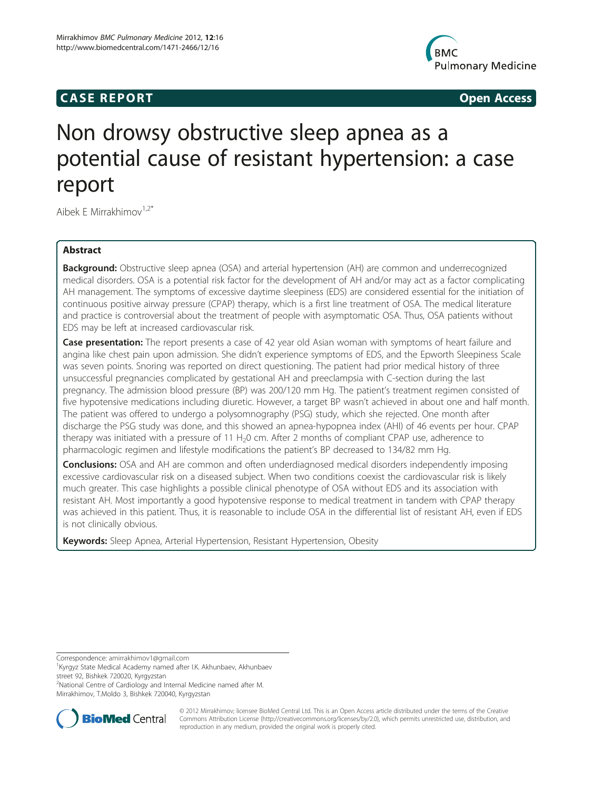## **CASE REPORT CASE REPORT**



# Non drowsy obstructive sleep apnea as a potential cause of resistant hypertension: a case report

Aibek E Mirrakhimov $1.2$ <sup>\*</sup>

## Abstract

Background: Obstructive sleep apnea (OSA) and arterial hypertension (AH) are common and underrecognized medical disorders. OSA is a potential risk factor for the development of AH and/or may act as a factor complicating AH management. The symptoms of excessive daytime sleepiness (EDS) are considered essential for the initiation of continuous positive airway pressure (CPAP) therapy, which is a first line treatment of OSA. The medical literature and practice is controversial about the treatment of people with asymptomatic OSA. Thus, OSA patients without EDS may be left at increased cardiovascular risk.

Case presentation: The report presents a case of 42 year old Asian woman with symptoms of heart failure and angina like chest pain upon admission. She didn't experience symptoms of EDS, and the Epworth Sleepiness Scale was seven points. Snoring was reported on direct questioning. The patient had prior medical history of three unsuccessful pregnancies complicated by gestational AH and preeclampsia with C-section during the last pregnancy. The admission blood pressure (BP) was 200/120 mm Hg. The patient's treatment regimen consisted of five hypotensive medications including diuretic. However, a target BP wasn't achieved in about one and half month. The patient was offered to undergo a polysomnography (PSG) study, which she rejected. One month after discharge the PSG study was done, and this showed an apnea-hypopnea index (AHI) of 46 events per hour. CPAP therapy was initiated with a pressure of 11 H<sub>2</sub>0 cm. After 2 months of compliant CPAP use, adherence to pharmacologic regimen and lifestyle modifications the patient's BP decreased to 134/82 mm Hg.

**Conclusions:** OSA and AH are common and often underdiagnosed medical disorders independently imposing excessive cardiovascular risk on a diseased subject. When two conditions coexist the cardiovascular risk is likely much greater. This case highlights a possible clinical phenotype of OSA without EDS and its association with resistant AH. Most importantly a good hypotensive response to medical treatment in tandem with CPAP therapy was achieved in this patient. Thus, it is reasonable to include OSA in the differential list of resistant AH, even if EDS is not clinically obvious.

**Keywords:** Sleep Apnea, Arterial Hypertension, Resistant Hypertension, Obesity

Correspondence: [amirrakhimov1@gmail.com](mailto:amirrakhimov1@gmail.com) <sup>1</sup>

<sup>2</sup>National Centre of Cardiology and Internal Medicine named after M.

Mirrakhimov, T.Moldo 3, Bishkek 720040, Kyrgyzstan



© 2012 Mirrakhimov; licensee BioMed Central Ltd. This is an Open Access article distributed under the terms of the Creative Commons Attribution License (http://creativecommons.org/licenses/by/2.0), which permits unrestricted use, distribution, and reproduction in any medium, provided the original work is properly cited.

<sup>&</sup>lt;sup>1</sup> Kyrgyz State Medical Academy named after I.K. Akhunbaev, Akhunbaev street 92, Bishkek 720020, Kyrgyzstan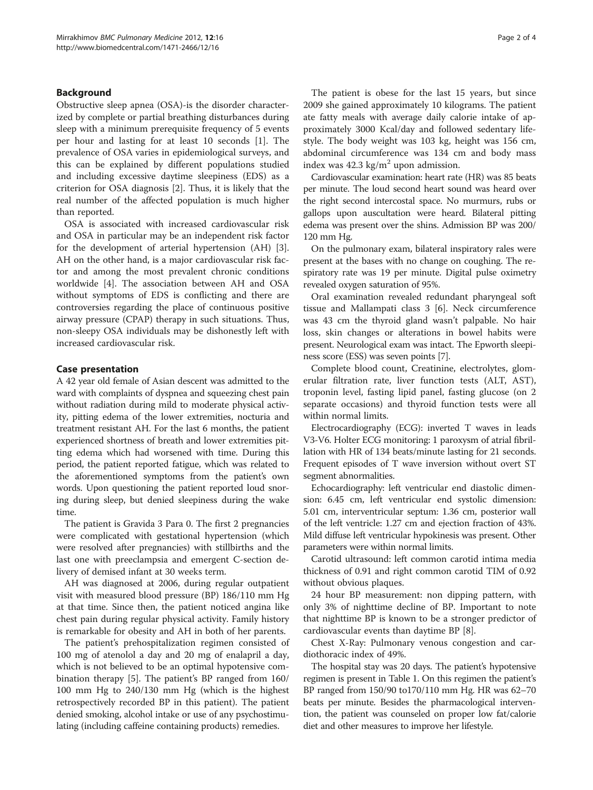## Background

Obstructive sleep apnea (OSA)-is the disorder characterized by complete or partial breathing disturbances during sleep with a minimum prerequisite frequency of 5 events per hour and lasting for at least 10 seconds [\[1](#page-3-0)]. The prevalence of OSA varies in epidemiological surveys, and this can be explained by different populations studied and including excessive daytime sleepiness (EDS) as a criterion for OSA diagnosis [[2\]](#page-3-0). Thus, it is likely that the real number of the affected population is much higher than reported.

OSA is associated with increased cardiovascular risk and OSA in particular may be an independent risk factor for the development of arterial hypertension (AH) [\[3](#page-3-0)]. AH on the other hand, is a major cardiovascular risk factor and among the most prevalent chronic conditions worldwide [\[4\]](#page-3-0). The association between AH and OSA without symptoms of EDS is conflicting and there are controversies regarding the place of continuous positive airway pressure (CPAP) therapy in such situations. Thus, non-sleepy OSA individuals may be dishonestly left with increased cardiovascular risk.

## Case presentation

A 42 year old female of Asian descent was admitted to the ward with complaints of dyspnea and squeezing chest pain without radiation during mild to moderate physical activity, pitting edema of the lower extremities, nocturia and treatment resistant AH. For the last 6 months, the patient experienced shortness of breath and lower extremities pitting edema which had worsened with time. During this period, the patient reported fatigue, which was related to the aforementioned symptoms from the patient's own words. Upon questioning the patient reported loud snoring during sleep, but denied sleepiness during the wake time.

The patient is Gravida 3 Para 0. The first 2 pregnancies were complicated with gestational hypertension (which were resolved after pregnancies) with stillbirths and the last one with preeclampsia and emergent C-section delivery of demised infant at 30 weeks term.

AH was diagnosed at 2006, during regular outpatient visit with measured blood pressure (BP) 186/110 mm Hg at that time. Since then, the patient noticed angina like chest pain during regular physical activity. Family history is remarkable for obesity and AH in both of her parents.

The patient's prehospitalization regimen consisted of 100 mg of atenolol a day and 20 mg of enalapril a day, which is not believed to be an optimal hypotensive combination therapy [\[5](#page-3-0)]. The patient's BP ranged from 160/ 100 mm Hg to 240/130 mm Hg (which is the highest retrospectively recorded BP in this patient). The patient denied smoking, alcohol intake or use of any psychostimulating (including caffeine containing products) remedies.

The patient is obese for the last 15 years, but since 2009 she gained approximately 10 kilograms. The patient ate fatty meals with average daily calorie intake of approximately 3000 Kcal/day and followed sedentary lifestyle. The body weight was 103 kg, height was 156 cm, abdominal circumference was 134 cm and body mass index was  $42.3 \text{ kg/m}^2$  upon admission.

Cardiovascular examination: heart rate (HR) was 85 beats per minute. The loud second heart sound was heard over the right second intercostal space. No murmurs, rubs or gallops upon auscultation were heard. Bilateral pitting edema was present over the shins. Admission BP was 200/ 120 mm Hg.

On the pulmonary exam, bilateral inspiratory rales were present at the bases with no change on coughing. The respiratory rate was 19 per minute. Digital pulse oximetry revealed oxygen saturation of 95%.

Oral examination revealed redundant pharyngeal soft tissue and Mallampati class 3 [[6\]](#page-3-0). Neck circumference was 43 cm the thyroid gland wasn't palpable. No hair loss, skin changes or alterations in bowel habits were present. Neurological exam was intact. The Epworth sleepiness score (ESS) was seven points [[7\]](#page-3-0).

Complete blood count, Creatinine, electrolytes, glomerular filtration rate, liver function tests (ALT, AST), troponin level, fasting lipid panel, fasting glucose (on 2 separate occasions) and thyroid function tests were all within normal limits.

Electrocardiography (ECG): inverted T waves in leads V3-V6. Holter ECG monitoring: 1 paroxysm of atrial fibrillation with HR of 134 beats/minute lasting for 21 seconds. Frequent episodes of T wave inversion without overt ST segment abnormalities.

Echocardiography: left ventricular end diastolic dimension: 6.45 cm, left ventricular end systolic dimension: 5.01 cm, interventricular septum: 1.36 cm, posterior wall of the left ventricle: 1.27 cm and ejection fraction of 43%. Mild diffuse left ventricular hypokinesis was present. Other parameters were within normal limits.

Carotid ultrasound: left common carotid intima media thickness of 0.91 and right common carotid TIM of 0.92 without obvious plaques.

24 hour BP measurement: non dipping pattern, with only 3% of nighttime decline of BP. Important to note that nighttime BP is known to be a stronger predictor of cardiovascular events than daytime BP [\[8\]](#page-3-0).

Chest X-Ray: Pulmonary venous congestion and cardiothoracic index of 49%.

The hospital stay was 20 days. The patient's hypotensive regimen is present in Table [1](#page-2-0). On this regimen the patient's BP ranged from 150/90 to170/110 mm Hg. HR was 62–70 beats per minute. Besides the pharmacological intervention, the patient was counseled on proper low fat/calorie diet and other measures to improve her lifestyle.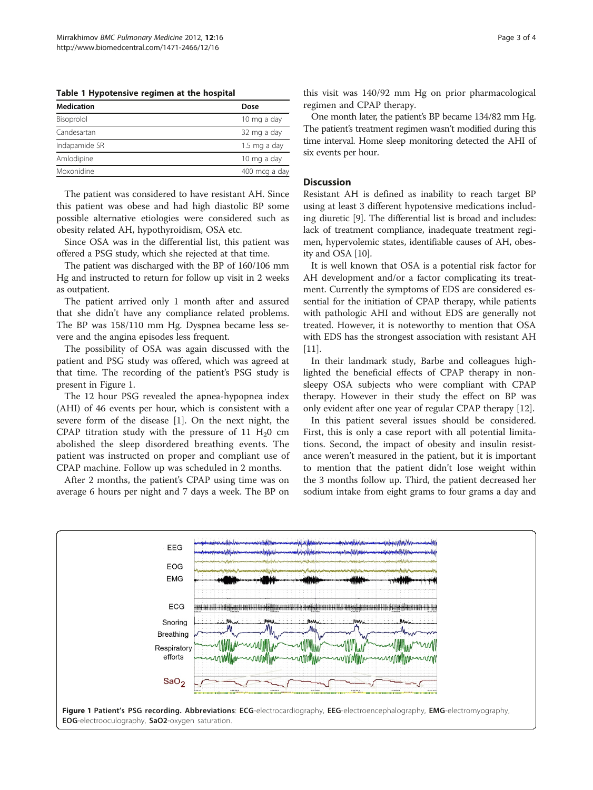<span id="page-2-0"></span>Table 1 Hypotensive regimen at the hospital

| <b>Medication</b> | Dose          |
|-------------------|---------------|
| Bisoprolol        | 10 mg a day   |
| Candesartan       | 32 mg a day   |
| Indapamide SR     | 1.5 mg a day  |
| Amlodipine        | 10 mg a day   |
| Moxonidine        | 400 mcg a day |

The patient was considered to have resistant AH. Since this patient was obese and had high diastolic BP some possible alternative etiologies were considered such as obesity related AH, hypothyroidism, OSA etc.

Since OSA was in the differential list, this patient was offered a PSG study, which she rejected at that time.

The patient was discharged with the BP of 160/106 mm Hg and instructed to return for follow up visit in 2 weeks as outpatient.

The patient arrived only 1 month after and assured that she didn't have any compliance related problems. The BP was 158/110 mm Hg. Dyspnea became less severe and the angina episodes less frequent.

The possibility of OSA was again discussed with the patient and PSG study was offered, which was agreed at that time. The recording of the patient's PSG study is present in Figure 1.

The 12 hour PSG revealed the apnea-hypopnea index (AHI) of 46 events per hour, which is consistent with a severe form of the disease [\[1](#page-3-0)]. On the next night, the CPAP titration study with the pressure of 11  $H_2$ 0 cm abolished the sleep disordered breathing events. The patient was instructed on proper and compliant use of CPAP machine. Follow up was scheduled in 2 months.

After 2 months, the patient's CPAP using time was on average 6 hours per night and 7 days a week. The BP on this visit was 140/92 mm Hg on prior pharmacological regimen and CPAP therapy.

One month later, the patient's BP became 134/82 mm Hg. The patient's treatment regimen wasn't modified during this time interval. Home sleep monitoring detected the AHI of six events per hour.

#### **Discussion**

Resistant AH is defined as inability to reach target BP using at least 3 different hypotensive medications including diuretic [[9](#page-3-0)]. The differential list is broad and includes: lack of treatment compliance, inadequate treatment regimen, hypervolemic states, identifiable causes of AH, obesity and OSA [\[10\]](#page-3-0).

It is well known that OSA is a potential risk factor for AH development and/or a factor complicating its treatment. Currently the symptoms of EDS are considered essential for the initiation of CPAP therapy, while patients with pathologic AHI and without EDS are generally not treated. However, it is noteworthy to mention that OSA with EDS has the strongest association with resistant AH [[11\]](#page-3-0).

In their landmark study, Barbe and colleagues highlighted the beneficial effects of CPAP therapy in nonsleepy OSA subjects who were compliant with CPAP therapy. However in their study the effect on BP was only evident after one year of regular CPAP therapy [\[12\]](#page-3-0).

In this patient several issues should be considered. First, this is only a case report with all potential limitations. Second, the impact of obesity and insulin resistance weren't measured in the patient, but it is important to mention that the patient didn't lose weight within the 3 months follow up. Third, the patient decreased her sodium intake from eight grams to four grams a day and